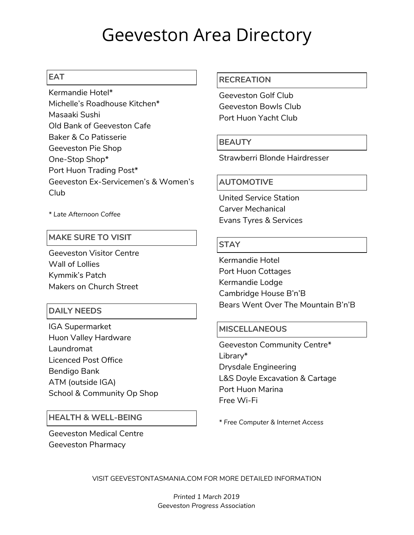# Geeveston Area Directory

## **EAT**

Kermandie Hotel\* Michelle's Roadhouse Kitchen\* Masaaki Sushi Old Bank of Geeveston Cafe Baker & Co Patisserie Geeveston Pie Shop One-Stop Shop\* Port Huon Trading Post\* Geeveston Ex-Servicemen's & Women's Club

*\* Late Afternoon Coffee*

## **MAKE SURE TO VISIT**

Geeveston Visitor Centre Wall of Lollies Kymmik's Patch Makers on Church Street

## **DAILY NEEDS**

IGA Supermarket Huon Valley Hardware Laundromat Licenced Post Office Bendigo Bank ATM (outside IGA) School & Community Op Shop

## **HEALTH & WELL-BEING**

Geeveston Medical Centre Geeveston Pharmacy

#### **RECREATION**

Geeveston Golf Club Geeveston Bowls Club Port Huon Yacht Club

## **BEAUTY**

Strawberri Blonde Hairdresser

#### **AUTOMOTIVE**

United Service Station Carver Mechanical Evans Tyres & Services

#### **STAY**

Kermandie Hotel Port Huon Cottages Kermandie Lodge Cambridge House B'n'B Bears Went Over The Mountain B'n'B

## **MISCELLANEOUS**

Geeveston Community Centre\* Library\* Drysdale Engineering L&S Doyle Excavation & Cartage Port Huon Marina Free Wi-Fi

*\* Free Computer & Internet Access*

VISIT GEEVESTONTASMANIA.COM FOR MORE DETAILED INFORMATION